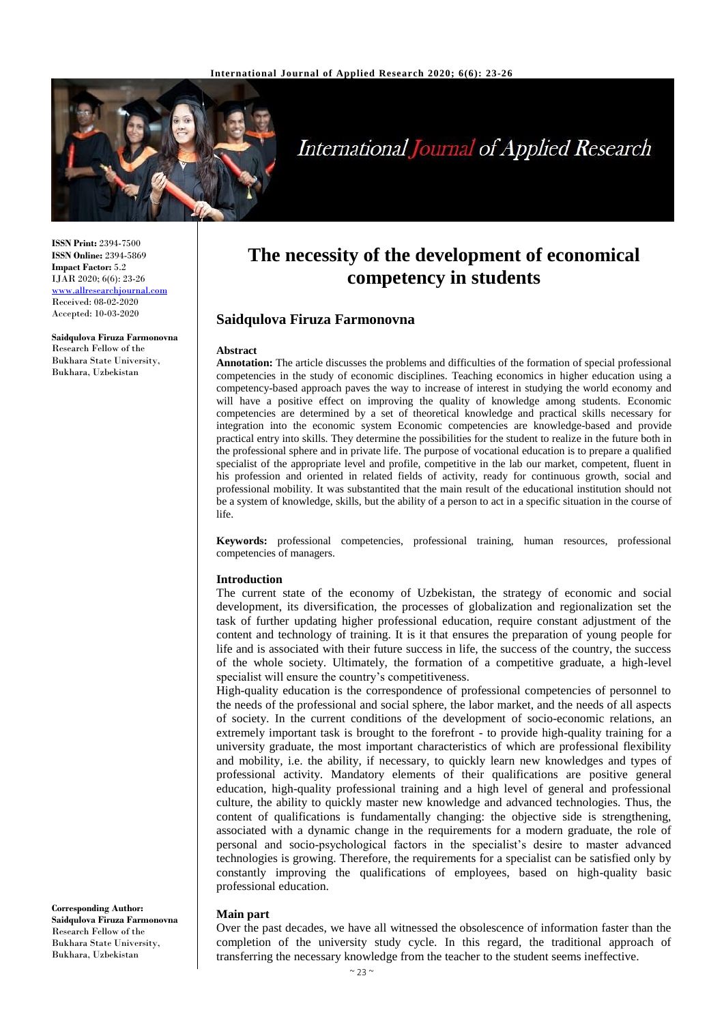

# **International Journal of Applied Research**

**ISSN Print:** 2394-7500 **ISSN Online:** 2394-5869 **Impact Factor:** 5.2 IJAR 2020; 6(6): 23-26 <www.allresearchjournal.com> Received: 08-02-2020 Accepted: 10-03-2020

**Saidqulova Firuza Farmonovna** Research Fellow of the Bukhara State University, Bukhara, Uzbekistan

## **The necessity of the development of economical competency in students**

## **Saidqulova Firuza Farmonovna**

#### **Abstract**

**Annotation:** The article discusses the problems and difficulties of the formation of special professional competencies in the study of economic disciplines. Teaching economics in higher education using a competency-based approach paves the way to increase of interest in studying the world economy and will have a positive effect on improving the quality of knowledge among students. Economic competencies are determined by a set of theoretical knowledge and practical skills necessary for integration into the economic system Economic competencies are knowledge-based and provide practical entry into skills. They determine the possibilities for the student to realize in the future both in the professional sphere and in private life. The purpose of vocational education is to prepare a qualified specialist of the appropriate level and profile, competitive in the lab our market, competent, fluent in his profession and oriented in related fields of activity, ready for continuous growth, social and professional mobility. It was substantited that the main result of the educational institution should not be a system of knowledge, skills, but the ability of a person to act in a specific situation in the course of life.

**Keywords:** professional competencies, professional training, human resources, professional competencies of managers.

#### **Introduction**

The current state of the economy of Uzbekistan, the strategy of economic and social development, its diversification, the processes of globalization and regionalization set the task of further updating higher professional education, require constant adjustment of the content and technology of training. It is it that ensures the preparation of young people for life and is associated with their future success in life, the success of the country, the success of the whole society. Ultimately, the formation of a competitive graduate, a high-level specialist will ensure the country's competitiveness.

High-quality education is the correspondence of professional competencies of personnel to the needs of the professional and social sphere, the labor market, and the needs of all aspects of society. In the current conditions of the development of socio-economic relations, an extremely important task is brought to the forefront - to provide high-quality training for a university graduate, the most important characteristics of which are professional flexibility and mobility, i.e. the ability, if necessary, to quickly learn new knowledges and types of professional activity. Mandatory elements of their qualifications are positive general education, high-quality professional training and a high level of general and professional culture, the ability to quickly master new knowledge and advanced technologies. Thus, the content of qualifications is fundamentally changing: the objective side is strengthening, associated with a dynamic change in the requirements for a modern graduate, the role of personal and socio-psychological factors in the specialist's desire to master advanced technologies is growing. Therefore, the requirements for a specialist can be satisfied only by constantly improving the qualifications of employees, based on high-quality basic professional education.

## **Main part**

Over the past decades, we have all witnessed the obsolescence of information faster than the completion of the university study cycle. In this regard, the traditional approach of transferring the necessary knowledge from the teacher to the student seems ineffective.

**Corresponding Author: Saidqulova Firuza Farmonovna** Research Fellow of the Bukhara State University, Bukhara, Uzbekistan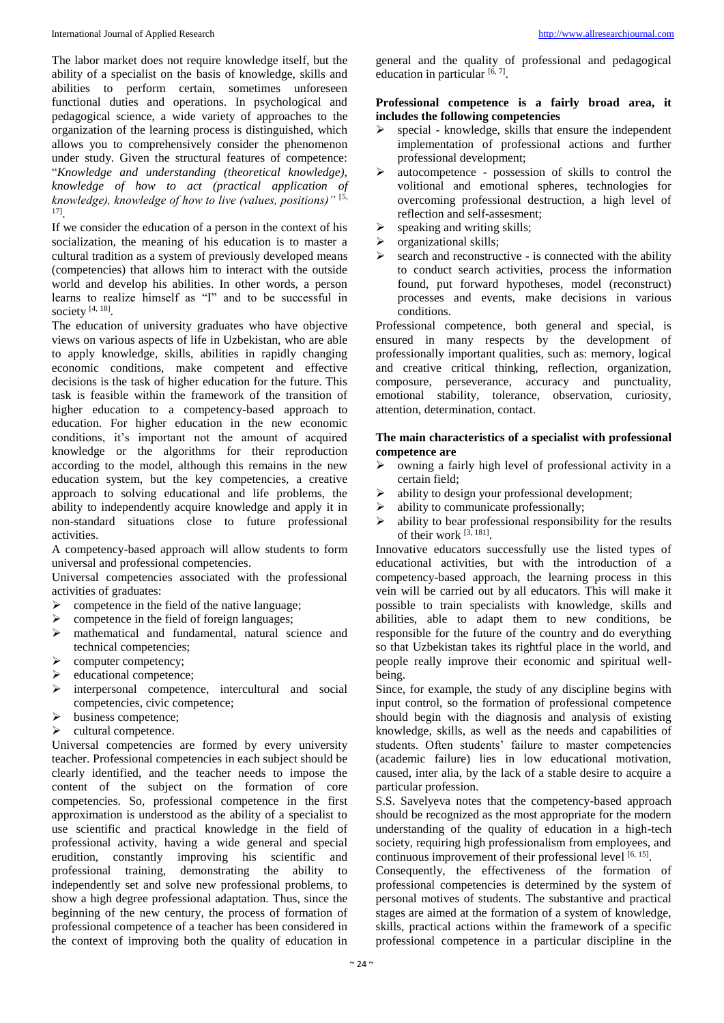#### International Journal of Applied Research [http://www.allresearchjournal.com](http://www.allresearchjournal.com/)

The labor market does not require knowledge itself, but the ability of a specialist on the basis of knowledge, skills and abilities to perform certain, sometimes unforeseen functional duties and operations. In psychological and pedagogical science, a wide variety of approaches to the organization of the learning process is distinguished, which allows you to comprehensively consider the phenomenon under study. Given the structural features of competence: "*Knowledge and understanding (theoretical knowledge), knowledge of how to act (practical application of knowledge), knowledge of how to live (values, positions)"* [5, 17] .

If we consider the education of a person in the context of his socialization, the meaning of his education is to master a cultural tradition as a system of previously developed means (competencies) that allows him to interact with the outside world and develop his abilities. In other words, a person learns to realize himself as "I" and to be successful in society  $[4, 18]$ .

The education of university graduates who have objective views on various aspects of life in Uzbekistan, who are able to apply knowledge, skills, abilities in rapidly changing economic conditions, make competent and effective decisions is the task of higher education for the future. This task is feasible within the framework of the transition of higher education to a competency-based approach to education. For higher education in the new economic conditions, it's important not the amount of acquired knowledge or the algorithms for their reproduction according to the model, although this remains in the new education system, but the key competencies, a creative approach to solving educational and life problems, the ability to independently acquire knowledge and apply it in non-standard situations close to future professional activities.

A competency-based approach will allow students to form universal and professional competencies.

Universal competencies associated with the professional activities of graduates:

- $\triangleright$  competence in the field of the native language;
- $\geq$  competence in the field of foreign languages;<br> $\geq$  mathematical and fundamental, natural sc
- mathematical and fundamental, natural science and technical competencies;
- $\triangleright$  computer competency;
- $\blacktriangleright$  educational competence;
- interpersonal competence, intercultural and social competencies, civic competence;
- $\triangleright$  business competence:
- $\triangleright$  cultural competence.

Universal competencies are formed by every university teacher. Professional competencies in each subject should be clearly identified, and the teacher needs to impose the content of the subject on the formation of core competencies. So, professional competence in the first approximation is understood as the ability of a specialist to use scientific and practical knowledge in the field of professional activity, having a wide general and special erudition, constantly improving his scientific and professional training, demonstrating the ability to independently set and solve new professional problems, to show a high degree professional adaptation. Thus, since the beginning of the new century, the process of formation of professional competence of a teacher has been considered in the context of improving both the quality of education in

general and the quality of professional and pedagogical education in particular  $[6, 7]$ .

## **Professional competence is a fairly broad area, it includes the following competencies**

- $\triangleright$  special knowledge, skills that ensure the independent implementation of professional actions and further professional development;
- autocompetence possession of skills to control the volitional and emotional spheres, technologies for overcoming professional destruction, a high level of reflection and self-assesment;
- $\triangleright$  speaking and writing skills;
- organizational skills;
- search and reconstructive is connected with the ability to conduct search activities, process the information found, put forward hypotheses, model (reconstruct) processes and events, make decisions in various conditions.

Professional competence, both general and special, is ensured in many respects by the development of professionally important qualities, such as: memory, logical and creative critical thinking, reflection, organization, composure, perseverance, accuracy and punctuality, emotional stability, tolerance, observation, curiosity, attention, determination, contact.

## **The main characteristics of a specialist with professional competence are**

- $\triangleright$  owning a fairly high level of professional activity in a certain field;
- $\triangleright$  ability to design your professional development;
- $\triangleright$  ability to communicate professionally;
- $\triangleright$  ability to bear professional responsibility for the results of their work [3, 181].

Innovative educators successfully use the listed types of educational activities, but with the introduction of a competency-based approach, the learning process in this vein will be carried out by all educators. This will make it possible to train specialists with knowledge, skills and abilities, able to adapt them to new conditions, be responsible for the future of the country and do everything so that Uzbekistan takes its rightful place in the world, and people really improve their economic and spiritual wellbeing.

Since, for example, the study of any discipline begins with input control, so the formation of professional competence should begin with the diagnosis and analysis of existing knowledge, skills, as well as the needs and capabilities of students. Often students' failure to master competencies (academic failure) lies in low educational motivation, caused, inter alia, by the lack of a stable desire to acquire a particular profession.

S.S. Savelyeva notes that the competency-based approach should be recognized as the most appropriate for the modern understanding of the quality of education in a high-tech society, requiring high professionalism from employees, and continuous improvement of their professional level [6, 15].

Consequently, the effectiveness of the formation of professional competencies is determined by the system of personal motives of students. The substantive and practical stages are aimed at the formation of a system of knowledge, skills, practical actions within the framework of a specific professional competence in a particular discipline in the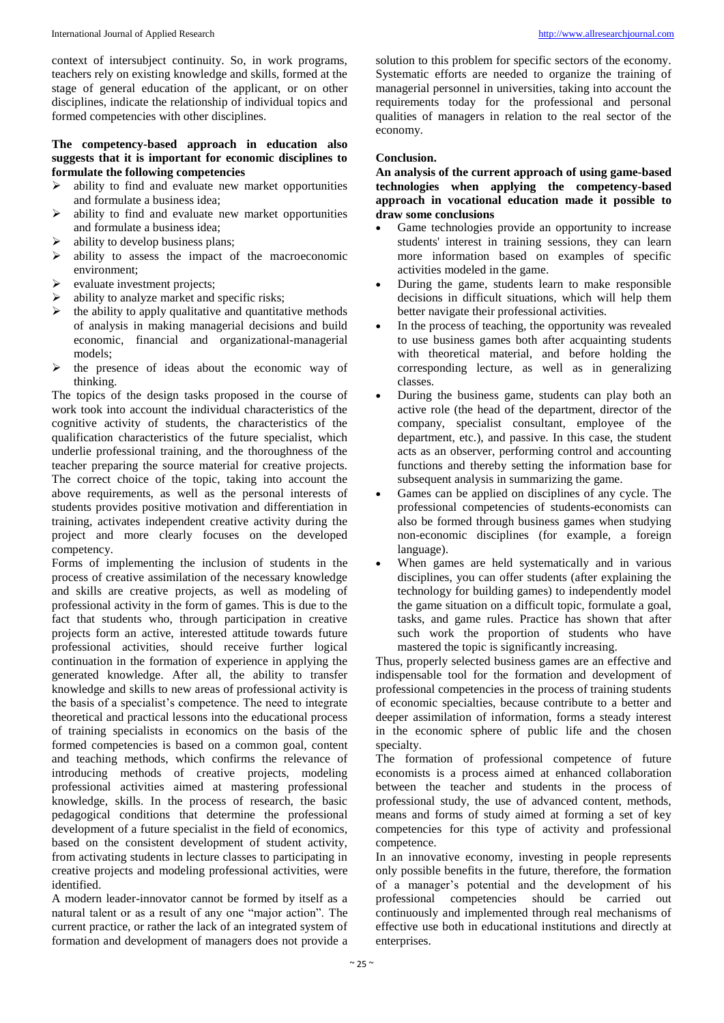context of intersubject continuity. So, in work programs, teachers rely on existing knowledge and skills, formed at the stage of general education of the applicant, or on other disciplines, indicate the relationship of individual topics and formed competencies with other disciplines.

## **The competency-based approach in education also suggests that it is important for economic disciplines to formulate the following competencies**

- $\triangleright$  ability to find and evaluate new market opportunities and formulate a business idea;
- $\triangleright$  ability to find and evaluate new market opportunities and formulate a business idea;
- $\triangleright$  ability to develop business plans;
- $\triangleright$  ability to assess the impact of the macroeconomic environment;
- $\triangleright$  evaluate investment projects;
- $\triangleright$  ability to analyze market and specific risks;
- the ability to apply qualitative and quantitative methods of analysis in making managerial decisions and build economic, financial and organizational-managerial models;
- $\triangleright$  the presence of ideas about the economic way of thinking.

The topics of the design tasks proposed in the course of work took into account the individual characteristics of the cognitive activity of students, the characteristics of the qualification characteristics of the future specialist, which underlie professional training, and the thoroughness of the teacher preparing the source material for creative projects. The correct choice of the topic, taking into account the above requirements, as well as the personal interests of students provides positive motivation and differentiation in training, activates independent creative activity during the project and more clearly focuses on the developed competency.

Forms of implementing the inclusion of students in the process of creative assimilation of the necessary knowledge and skills are creative projects, as well as modeling of professional activity in the form of games. This is due to the fact that students who, through participation in creative projects form an active, interested attitude towards future professional activities, should receive further logical continuation in the formation of experience in applying the generated knowledge. After all, the ability to transfer knowledge and skills to new areas of professional activity is the basis of a specialist's competence. The need to integrate theoretical and practical lessons into the educational process of training specialists in economics on the basis of the formed competencies is based on a common goal, content and teaching methods, which confirms the relevance of introducing methods of creative projects, modeling professional activities aimed at mastering professional knowledge, skills. In the process of research, the basic pedagogical conditions that determine the professional development of a future specialist in the field of economics, based on the consistent development of student activity, from activating students in lecture classes to participating in creative projects and modeling professional activities, were identified.

A modern leader-innovator cannot be formed by itself as a natural talent or as a result of any one "major action". The current practice, or rather the lack of an integrated system of formation and development of managers does not provide a

solution to this problem for specific sectors of the economy. Systematic efforts are needed to organize the training of managerial personnel in universities, taking into account the requirements today for the professional and personal qualities of managers in relation to the real sector of the economy.

## **Conclusion.**

**An analysis of the current approach of using game-based technologies when applying the competency-based approach in vocational education made it possible to draw some conclusions**

- Game technologies provide an opportunity to increase students' interest in training sessions, they can learn more information based on examples of specific activities modeled in the game.
- During the game, students learn to make responsible decisions in difficult situations, which will help them better navigate their professional activities.
- In the process of teaching, the opportunity was revealed to use business games both after acquainting students with theoretical material, and before holding the corresponding lecture, as well as in generalizing classes.
- During the business game, students can play both an active role (the head of the department, director of the company, specialist consultant, employee of the department, etc.), and passive. In this case, the student acts as an observer, performing control and accounting functions and thereby setting the information base for subsequent analysis in summarizing the game.
- Games can be applied on disciplines of any cycle. The professional competencies of students-economists can also be formed through business games when studying non-economic disciplines (for example, a foreign language).
- When games are held systematically and in various disciplines, you can offer students (after explaining the technology for building games) to independently model the game situation on a difficult topic, formulate a goal, tasks, and game rules. Practice has shown that after such work the proportion of students who have mastered the topic is significantly increasing.

Thus, properly selected business games are an effective and indispensable tool for the formation and development of professional competencies in the process of training students of economic specialties, because contribute to a better and deeper assimilation of information, forms a steady interest in the economic sphere of public life and the chosen specialty.

The formation of professional competence of future economists is a process aimed at enhanced collaboration between the teacher and students in the process of professional study, the use of advanced content, methods, means and forms of study aimed at forming a set of key competencies for this type of activity and professional competence.

In an innovative economy, investing in people represents only possible benefits in the future, therefore, the formation of a manager's potential and the development of his professional competencies should be carried out continuously and implemented through real mechanisms of effective use both in educational institutions and directly at enterprises.